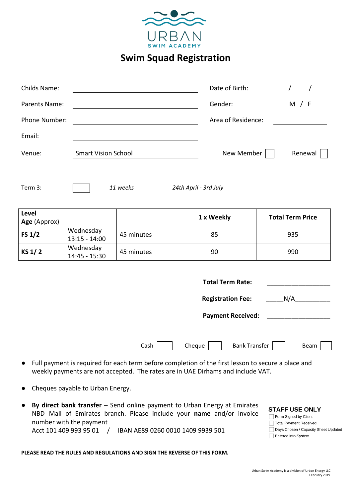

**Swim Squad Registration**

| <b>Childs Name:</b>                                                                                                                                                                                                                                                                                                                                                                           |                              |            | Date of Birth:     | $\prime$                |
|-----------------------------------------------------------------------------------------------------------------------------------------------------------------------------------------------------------------------------------------------------------------------------------------------------------------------------------------------------------------------------------------------|------------------------------|------------|--------------------|-------------------------|
| Parents Name:                                                                                                                                                                                                                                                                                                                                                                                 |                              |            | Gender:            | M / F                   |
| Phone Number:                                                                                                                                                                                                                                                                                                                                                                                 |                              |            | Area of Residence: |                         |
| Email:                                                                                                                                                                                                                                                                                                                                                                                        |                              |            |                    |                         |
| <b>Smart Vision School</b><br>Venue:                                                                                                                                                                                                                                                                                                                                                          |                              |            | New Member         | Renewal                 |
| Term 3:<br>11 weeks<br>24th April - 3rd July                                                                                                                                                                                                                                                                                                                                                  |                              |            |                    |                         |
| Level<br>Age (Approx)                                                                                                                                                                                                                                                                                                                                                                         |                              |            | 1 x Weekly         | <b>Total Term Price</b> |
| FS $1/2$                                                                                                                                                                                                                                                                                                                                                                                      | Wednesday<br>$13:15 - 14:00$ | 45 minutes | 85                 | 935                     |
| KS 1/2                                                                                                                                                                                                                                                                                                                                                                                        | Wednesday<br>14:45 - 15:30   | 45 minutes | 90                 | 990                     |
| <b>Total Term Rate:</b><br>N/A<br><b>Registration Fee:</b>                                                                                                                                                                                                                                                                                                                                    |                              |            |                    |                         |
| <b>Payment Received:</b>                                                                                                                                                                                                                                                                                                                                                                      |                              |            |                    |                         |
| Cash $\lceil$<br><b>Bank Transfer</b><br>Cheque<br>Beam                                                                                                                                                                                                                                                                                                                                       |                              |            |                    |                         |
| Full payment is required for each term before completion of the first lesson to secure a place and<br>weekly payments are not accepted. The rates are in UAE Dirhams and include VAT.                                                                                                                                                                                                         |                              |            |                    |                         |
| Cheques payable to Urban Energy.                                                                                                                                                                                                                                                                                                                                                              |                              |            |                    |                         |
| By direct bank transfer - Send online payment to Urban Energy at Emirates<br><b>STAFF USE ONLY</b><br>NBD Mall of Emirates branch. Please include your name and/or invoice<br>Form Signed by Client<br>number with the payment<br><b>Total Payment Received</b><br>Days Chosen / Capacity Sheet Updated<br>Acct 101 409 993 95 01<br>IBAN AE89 0260 0010 1409 9939 501<br>Entered into System |                              |            |                    |                         |

**PLEASE READ THE RULES AND REGULATIONS AND SIGN THE REVERSE OF THIS FORM.**